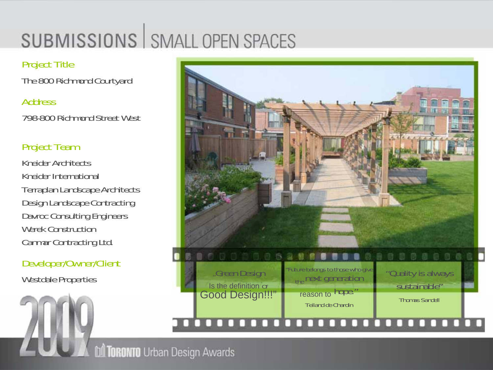# **SUBMISSIONS | SMALL OPEN SPACES**

### Project Title

The 800 Richmond Courtyard

#### **Address**

798-800 Richmond Street West

## Project Team

Kneider ArchitectsKneider InternationalTerraplan Landscape Architects Design Landscape Contracting Davroc Consulting Engineers Werek ConstructionCanmar Contracting Ltd.

Developer/Owner/Client



**M TORONTO** Urban Design Awards